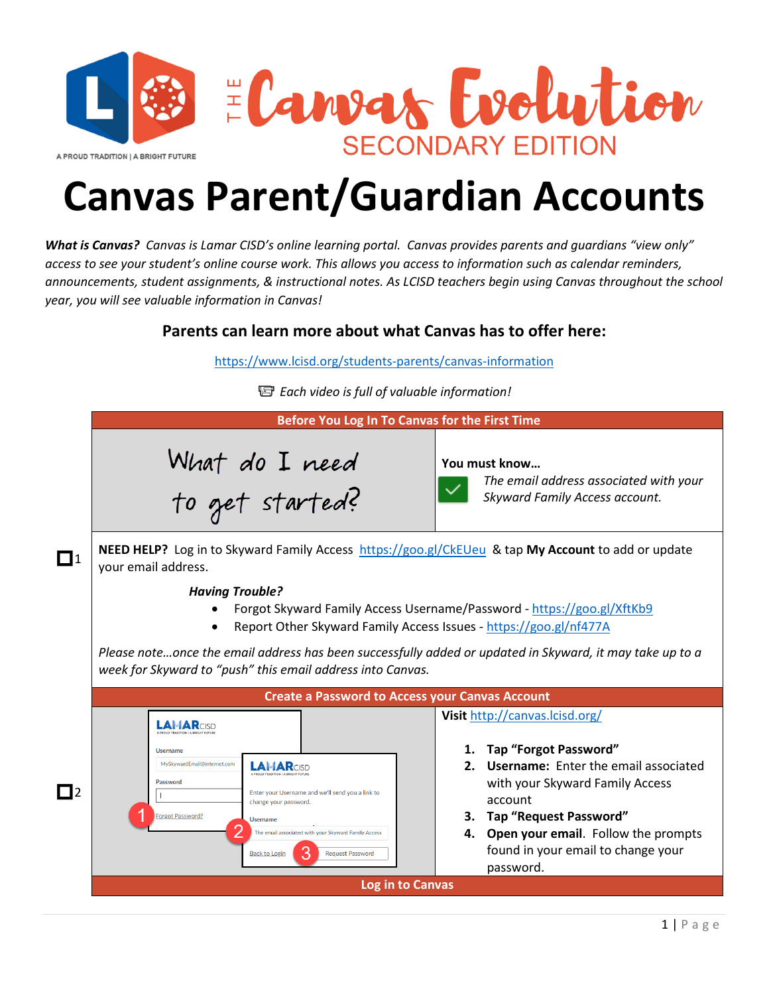

## **Canvas Parent/Guardian Accounts**

*What is Canvas? Canvas is Lamar CISD's online learning portal. Canvas provides parents and guardians "view only" access to see your student's online course work. This allows you access to information such as calendar reminders, announcements, student assignments, & instructional notes. As LCISD teachers begin using Canvas throughout the school year, you will see valuable information in Canvas!*

## **Parents can learn more about what Canvas has to offer here:**

<https://www.lcisd.org/students-parents/canvas-information>

*Each video is full of valuable information!*

|                                                        | Before You Log In To Canvas for the First Time                                                                                                                                                                                                                                                                                                               |                                                                                                                                                                                                                                                                               |
|--------------------------------------------------------|--------------------------------------------------------------------------------------------------------------------------------------------------------------------------------------------------------------------------------------------------------------------------------------------------------------------------------------------------------------|-------------------------------------------------------------------------------------------------------------------------------------------------------------------------------------------------------------------------------------------------------------------------------|
|                                                        | What do I need<br>to get started?                                                                                                                                                                                                                                                                                                                            | You must know<br>The email address associated with your<br>Skyward Family Access account.                                                                                                                                                                                     |
| $\Box$ 1                                               | NEED HELP? Log in to Skyward Family Access https://goo.gl/CkEUeu & tap My Account to add or update<br>your email address.                                                                                                                                                                                                                                    |                                                                                                                                                                                                                                                                               |
|                                                        | <b>Having Trouble?</b><br>Forgot Skyward Family Access Username/Password - https://goo.gl/XftKb9<br>Report Other Skyward Family Access Issues - https://goo.gl/nf477A<br>$\bullet$<br>Please noteonce the email address has been successfully added or updated in Skyward, it may take up to a<br>week for Skyward to "push" this email address into Canvas. |                                                                                                                                                                                                                                                                               |
| <b>Create a Password to Access your Canvas Account</b> |                                                                                                                                                                                                                                                                                                                                                              |                                                                                                                                                                                                                                                                               |
| $\Box$                                                 | <b>LAMAR</b> CISD<br><b>Username</b><br>MySkywardEmail@internet.com<br><b>LAMAR</b> CISE<br>Password<br>Enter your Username and we'll send you a link to<br>change your password.<br>Forgot Password?<br><b>Username</b><br>The email associated with your Skyward Family Access<br><b>Back to Login</b><br><b>Request Password</b>                          | Visit http://canvas.lcisd.org/<br>1. Tap "Forgot Password"<br>2. Username: Enter the email associated<br>with your Skyward Family Access<br>account<br>3. Tap "Request Password"<br>4. Open your email. Follow the prompts<br>found in your email to change your<br>password. |
|                                                        | <b>Log in to Canvas</b>                                                                                                                                                                                                                                                                                                                                      |                                                                                                                                                                                                                                                                               |